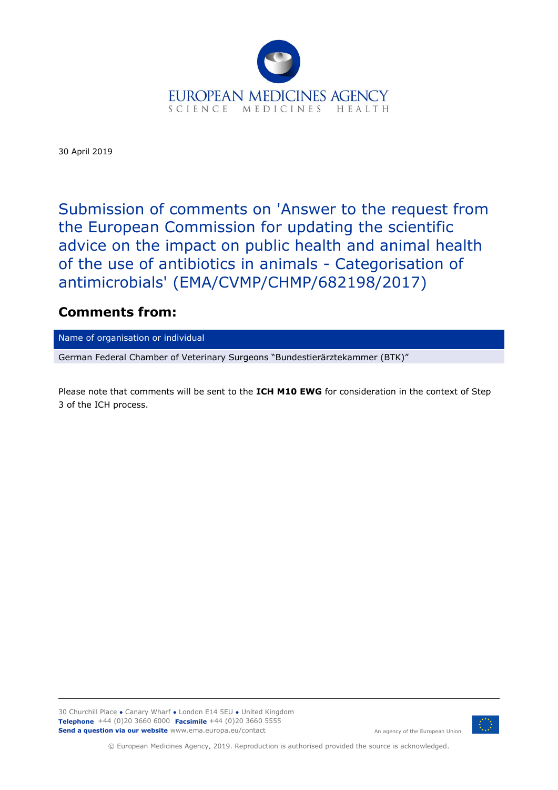

30 April 2019

Submission of comments on 'Answer to the request from the European Commission for updating the scientific advice on the impact on public health and animal health of the use of antibiotics in animals - Categorisation of antimicrobials' (EMA/CVMP/CHMP/682198/2017)

## **Comments from:**

Name of organisation or individual

German Federal Chamber of Veterinary Surgeons "Bundestierärztekammer (BTK)"

Please note that comments will be sent to the **ICH M10 EWG** for consideration in the context of Step 3 of the ICH process.



An agency of the European Union

© European Medicines Agency, 2019. Reproduction is authorised provided the source is acknowledged.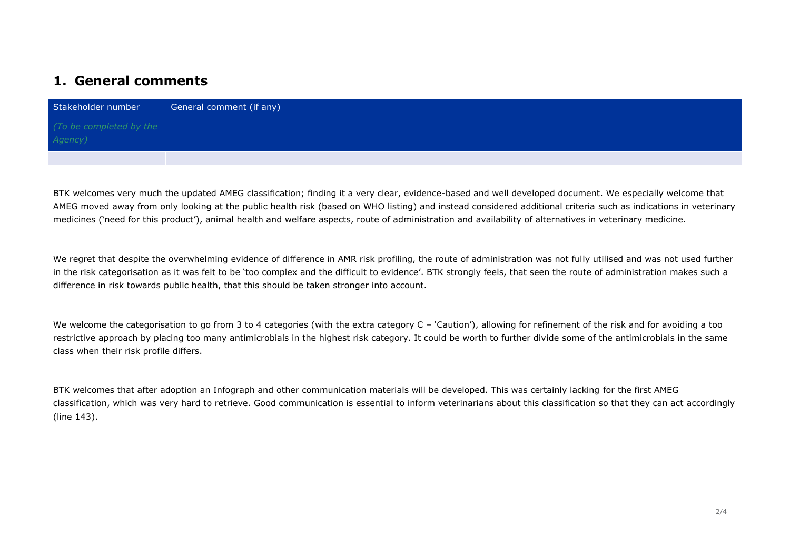## **1. General comments**

*Agency)*

| Stakeholder number      | General comment (if any) |
|-------------------------|--------------------------|
| (To be completed by the |                          |

BTK welcomes very much the updated AMEG classification; finding it a very clear, evidence-based and well developed document. We especially welcome that AMEG moved away from only looking at the public health risk (based on WHO listing) and instead considered additional criteria such as indications in veterinary medicines ('need for this product'), animal health and welfare aspects, route of administration and availability of alternatives in veterinary medicine.

We regret that despite the overwhelming evidence of difference in AMR risk profiling, the route of administration was not fully utilised and was not used further in the risk categorisation as it was felt to be 'too complex and the difficult to evidence'. BTK strongly feels, that seen the route of administration makes such a difference in risk towards public health, that this should be taken stronger into account.

We welcome the categorisation to go from 3 to 4 categories (with the extra category C – 'Caution'), allowing for refinement of the risk and for avoiding a too restrictive approach by placing too many antimicrobials in the highest risk category. It could be worth to further divide some of the antimicrobials in the same class when their risk profile differs.

BTK welcomes that after adoption an Infograph and other communication materials will be developed. This was certainly lacking for the first AMEG classification, which was very hard to retrieve. Good communication is essential to inform veterinarians about this classification so that they can act accordingly (line 143).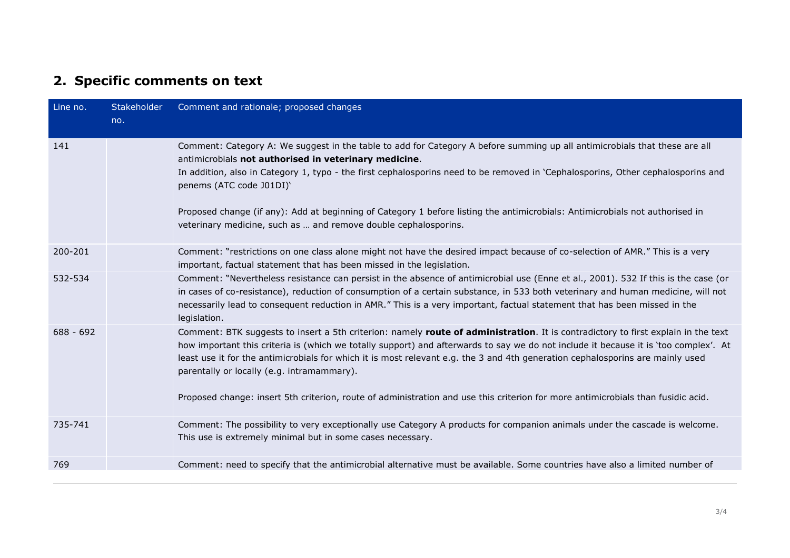## **2. Specific comments on text**

| Line no.    | Stakeholder<br>no. | Comment and rationale; proposed changes                                                                                                                                                                                                                                                                                                                                                                                                                                                                                                                                                       |
|-------------|--------------------|-----------------------------------------------------------------------------------------------------------------------------------------------------------------------------------------------------------------------------------------------------------------------------------------------------------------------------------------------------------------------------------------------------------------------------------------------------------------------------------------------------------------------------------------------------------------------------------------------|
| 141         |                    | Comment: Category A: We suggest in the table to add for Category A before summing up all antimicrobials that these are all<br>antimicrobials not authorised in veterinary medicine.<br>In addition, also in Category 1, typo - the first cephalosporins need to be removed in 'Cephalosporins, Other cephalosporins and<br>penems (ATC code J01DI)'<br>Proposed change (if any): Add at beginning of Category 1 before listing the antimicrobials: Antimicrobials not authorised in<br>veterinary medicine, such as  and remove double cephalosporins.                                        |
| 200-201     |                    | Comment: "restrictions on one class alone might not have the desired impact because of co-selection of AMR." This is a very<br>important, factual statement that has been missed in the legislation.                                                                                                                                                                                                                                                                                                                                                                                          |
| 532-534     |                    | Comment: "Nevertheless resistance can persist in the absence of antimicrobial use (Enne et al., 2001). 532 If this is the case (or<br>in cases of co-resistance), reduction of consumption of a certain substance, in 533 both veterinary and human medicine, will not<br>necessarily lead to consequent reduction in AMR." This is a very important, factual statement that has been missed in the<br>legislation.                                                                                                                                                                           |
| $688 - 692$ |                    | Comment: BTK suggests to insert a 5th criterion: namely route of administration. It is contradictory to first explain in the text<br>how important this criteria is (which we totally support) and afterwards to say we do not include it because it is 'too complex'. At<br>least use it for the antimicrobials for which it is most relevant e.g. the 3 and 4th generation cephalosporins are mainly used<br>parentally or locally (e.g. intramammary).<br>Proposed change: insert 5th criterion, route of administration and use this criterion for more antimicrobials than fusidic acid. |
| 735-741     |                    | Comment: The possibility to very exceptionally use Category A products for companion animals under the cascade is welcome.<br>This use is extremely minimal but in some cases necessary.                                                                                                                                                                                                                                                                                                                                                                                                      |
| 769         |                    | Comment: need to specify that the antimicrobial alternative must be available. Some countries have also a limited number of                                                                                                                                                                                                                                                                                                                                                                                                                                                                   |